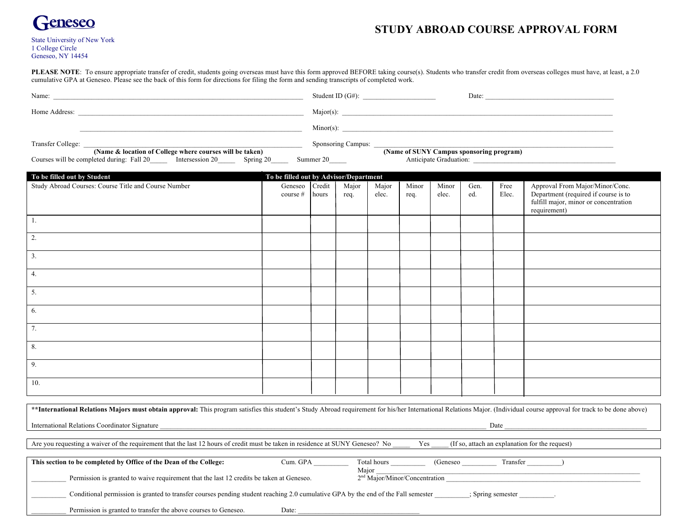

## **STUDY ABROAD COURSE APPROVAL FORM**

| <b>State University of New York</b> |  |
|-------------------------------------|--|
| 1 College Circle                    |  |
| Geneseo, NY 14454                   |  |

PLEASE NOTE: To ensure appropriate transfer of credit, students going overseas must have this form approved BEFORE taking course(s). Students who transfer credit from overseas colleges must have, at least, a 2.0 cumulative GPA at Geneseo. Please see the back of this form for directions for filing the form and sending transcripts of completed work.

| cumulative GPA at Geneseo. Please see the back of this form for directions for filing the form and sending transcripts of completed work.                                                 |                                                                |       |               |                |               |                |             |               |                                                                                                                                  |
|-------------------------------------------------------------------------------------------------------------------------------------------------------------------------------------------|----------------------------------------------------------------|-------|---------------|----------------|---------------|----------------|-------------|---------------|----------------------------------------------------------------------------------------------------------------------------------|
|                                                                                                                                                                                           |                                                                |       |               |                |               |                | Date:       |               |                                                                                                                                  |
|                                                                                                                                                                                           |                                                                |       |               |                |               |                |             |               |                                                                                                                                  |
| <u> 2008 - An Dùbhlachd ann an Dùbhlachd ann an Dùbhlachd ann an Dùbhlachd ann an Dùbhlachd ann an Dùbhlachd ann a</u>                                                                    |                                                                |       |               |                |               |                |             |               |                                                                                                                                  |
| Transfer College:<br>(Name & location of College where courses will be taken)<br>Courses will be completed during: Fall 20 ________ Intersession 20 _________ Spring 20 _______ Summer 20 | Sponsoring Campus:<br>(Name of SUNY Campus sponsoring program) |       |               |                |               |                |             |               |                                                                                                                                  |
|                                                                                                                                                                                           |                                                                |       |               |                |               |                |             |               |                                                                                                                                  |
| To be filled out by Student                                                                                                                                                               | To be filled out by Advisor/Department                         |       |               |                |               |                |             |               |                                                                                                                                  |
| Study Abroad Courses: Course Title and Course Number                                                                                                                                      | Geneseo   Credit<br>course $#$                                 | hours | Major<br>req. | Major<br>elec. | Minor<br>req. | Minor<br>elec. | Gen.<br>ed. | Free<br>Elec. | Approval From Major/Minor/Conc.<br>Department (required if course is to<br>fulfill major, minor or concentration<br>requirement) |
| $\Box$                                                                                                                                                                                    |                                                                |       |               |                |               |                |             |               |                                                                                                                                  |
| $\overline{2}$ .                                                                                                                                                                          |                                                                |       |               |                |               |                |             |               |                                                                                                                                  |
| $\overline{3}$ .                                                                                                                                                                          |                                                                |       |               |                |               |                |             |               |                                                                                                                                  |
| 4.                                                                                                                                                                                        |                                                                |       |               |                |               |                |             |               |                                                                                                                                  |
| $\overline{5}$ .                                                                                                                                                                          |                                                                |       |               |                |               |                |             |               |                                                                                                                                  |
| 6.                                                                                                                                                                                        |                                                                |       |               |                |               |                |             |               |                                                                                                                                  |
| 7.                                                                                                                                                                                        |                                                                |       |               |                |               |                |             |               |                                                                                                                                  |
| 8.                                                                                                                                                                                        |                                                                |       |               |                |               |                |             |               |                                                                                                                                  |
| 9 <sub>1</sub>                                                                                                                                                                            |                                                                |       |               |                |               |                |             |               |                                                                                                                                  |
|                                                                                                                                                                                           |                                                                |       |               |                |               |                |             |               |                                                                                                                                  |

\*\*International Relations Majors must obtain approval: This program satisfies this student's Study Abroad requirement for his/her International Relations Major. (Individual course approval for track to be done above) International Relations Coordinator Signature  $\Box$ Are you requesting a waiver of the requirement that the last 12 hours of credit must be taken in residence at SUNY Geneseo? No \_\_\_\_\_\_ Yes \_\_\_\_\_ (If so, attach an explanation for the request) This section to be completed by Office of the Dean of the College: Cum. GPA \_\_\_\_\_\_\_\_\_\_ Total hours \_\_\_\_\_\_\_\_ (Geneseo \_\_\_\_\_\_\_\_\_\_\_ Transfer \_\_\_\_\_\_\_\_\_)  $Major$ Permission is granted to waive requirement that the last 12 credits be taken at Geneseo.  $2<sup>nd</sup> Major/Minor/Concentration$ Conditional permission is granted to transfer courses pending student reaching 2.0 cumulative GPA by the end of the Fall semester \_\_\_\_\_\_\_\_\_\_; Spring semester Permission is granted to transfer the above courses to Geneseo. Date: